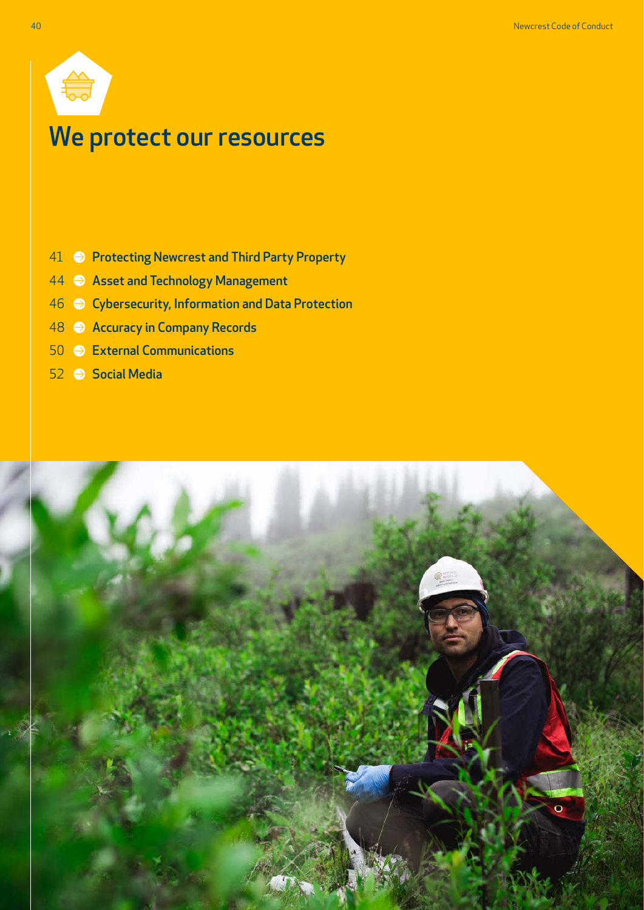

# We protect our resources

- 41  $\implies$  [Protecting Newcrest and Third Party Property](#page-1-0)
- [Asset and Technology Management](#page-4-0)
- [Cybersecurity, Information and Data Protection](#page-6-0)
- [Accuracy in Company Records](#page-8-0)
- [External Communications](#page-10-0)
- [Social Media](#page-12-0)

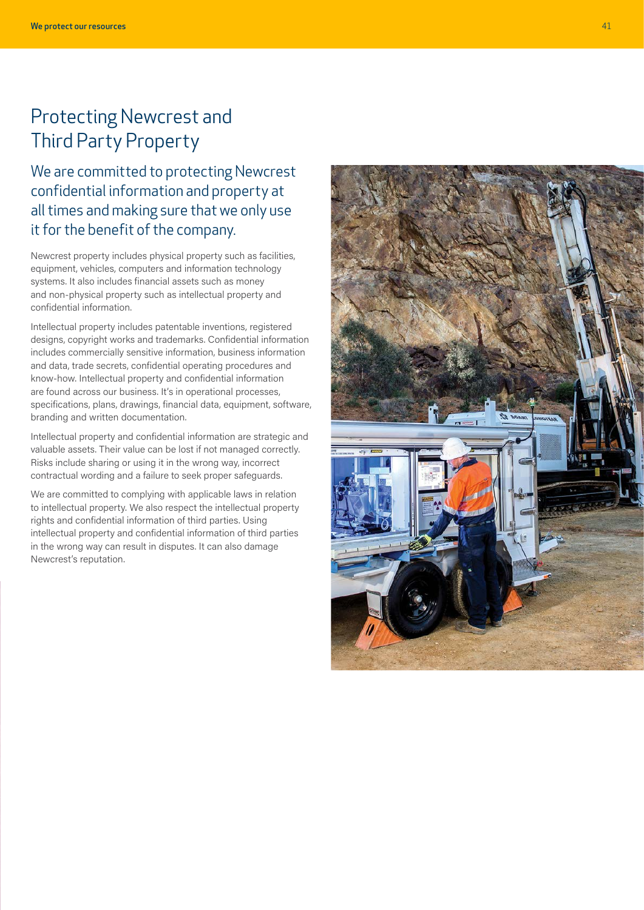## <span id="page-1-0"></span>Protecting Newcrest and Third Party Property

We are committed to protecting Newcrest confidential information and property at all times and making sure that we only use it for the benefit of the company.

Newcrest property includes physical property such as facilities, equipment, vehicles, computers and information technology systems. It also includes financial assets such as money and non-physical property such as intellectual property and confidential information.

Intellectual property includes patentable inventions, registered designs, copyright works and trademarks. Confidential information includes commercially sensitive information, business information and data, trade secrets, confidential operating procedures and know-how. Intellectual property and confidential information are found across our business. It's in operational processes, specifications, plans, drawings, financial data, equipment, software, branding and written documentation.

Intellectual property and confidential information are strategic and valuable assets. Their value can be lost if not managed correctly. Risks include sharing or using it in the wrong way, incorrect contractual wording and a failure to seek proper safeguards.

We are committed to complying with applicable laws in relation to intellectual property. We also respect the intellectual property rights and confidential information of third parties. Using intellectual property and confidential information of third parties in the wrong way can result in disputes. It can also damage Newcrest's reputation.

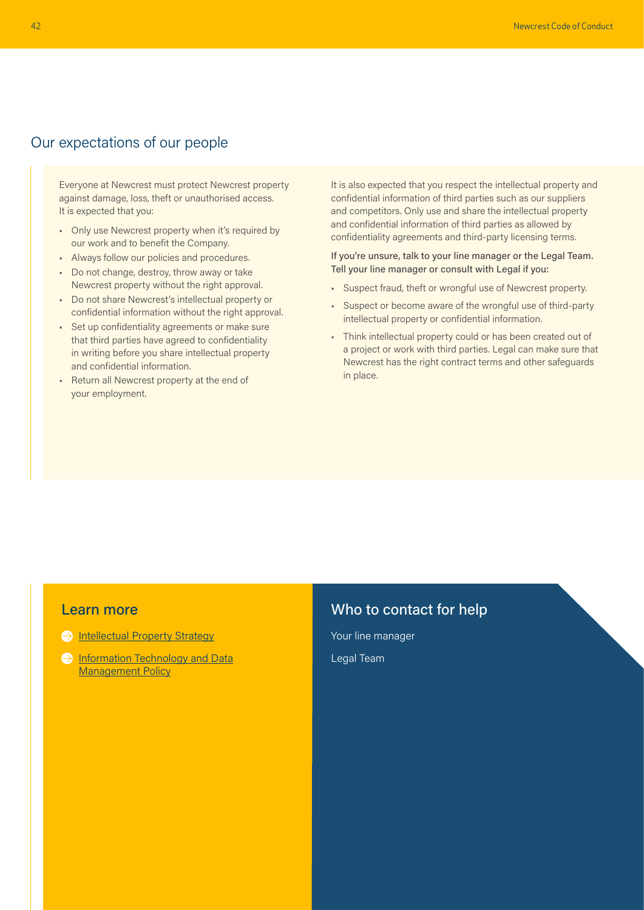### Our expectations of our people

Everyone at Newcrest must protect Newcrest property against damage, loss, theft or unauthorised access. It is expected that you:

- Only use Newcrest property when it's required by our work and to benefit the Company.
- Always follow our policies and procedures.
- Do not change, destroy, throw away or take Newcrest property without the right approval.
- Do not share Newcrest's intellectual property or confidential information without the right approval.
- Set up confidentiality agreements or make sure that third parties have agreed to confidentiality in writing before you share intellectual property and confidential information.
- Return all Newcrest property at the end of your employment.

It is also expected that you respect the intellectual property and confidential information of third parties such as our suppliers and competitors. Only use and share the intellectual property and confidential information of third parties as allowed by confidentiality agreements and third-party licensing terms.

#### If you're unsure, talk to your line manager or the Legal Team. Tell your line manager or consult with Legal if you:

- Suspect fraud, theft or wrongful use of Newcrest property.
- Suspect or become aware of the wrongful use of third-party intellectual property or confidential information.
- Think intellectual property could or has been created out of a project or work with third parties. Legal can make sure that Newcrest has the right contract terms and other safeguards in place.

#### Learn more

- **[Intellectual Property Strategy](https://newcrestmining.sharepoint.com/teams/IntellectualProperty/Shared%20Documents/Forms/AllItems.aspx?id=%2Fteams%2FIntellectualProperty%2FShared%20Documents%2FIP%20Framework%20Strategy%2FNewcrest%20IP%20Strategy%2Epdf&parent=%2Fteams%2FIntellectualProperty%2FShared%20Documents%2FIP%20Framework%20Strategy )**
- **Information Technology and Data [Management Policy](https://newcrestmining.sharepoint.com/sites/portal/Documents/IT/Information%20Technology%20and%20Data%20Management%20Policy.pdf)**

### Who to contact for help

Your line manager Legal Team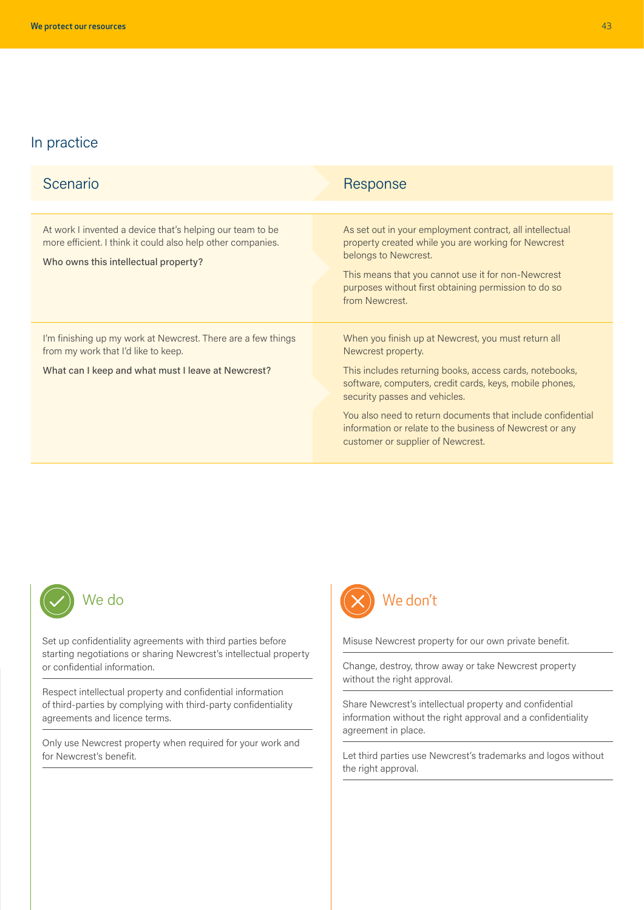| Scenario                                                                                                                                                         | Response                                                                                                                                                                                                                                                                                                                                                                                         |
|------------------------------------------------------------------------------------------------------------------------------------------------------------------|--------------------------------------------------------------------------------------------------------------------------------------------------------------------------------------------------------------------------------------------------------------------------------------------------------------------------------------------------------------------------------------------------|
|                                                                                                                                                                  |                                                                                                                                                                                                                                                                                                                                                                                                  |
| At work I invented a device that's helping our team to be<br>more efficient. I think it could also help other companies.<br>Who owns this intellectual property? | As set out in your employment contract, all intellectual<br>property created while you are working for Newcrest<br>belongs to Newcrest.<br>This means that you cannot use it for non-Newcrest<br>purposes without first obtaining permission to do so<br>from Newcrest.                                                                                                                          |
| I'm finishing up my work at Newcrest. There are a few things<br>from my work that I'd like to keep.<br>What can I keep and what must I leave at Newcrest?        | When you finish up at Newcrest, you must return all<br>Newcrest property.<br>This includes returning books, access cards, notebooks,<br>software, computers, credit cards, keys, mobile phones,<br>security passes and vehicles.<br>You also need to return documents that include confidential<br>information or relate to the business of Newcrest or any<br>customer or supplier of Newcrest. |



Set up confidentiality agreements with third parties before starting negotiations or sharing Newcrest's intellectual property or confidential information.

Respect intellectual property and confidential information of third-parties by complying with third-party confidentiality agreements and licence terms.

Only use Newcrest property when required for your work and for Newcrest's benefit.



Misuse Newcrest property for our own private benefit.

Change, destroy, throw away or take Newcrest property without the right approval.

Share Newcrest's intellectual property and confidential information without the right approval and a confidentiality agreement in place.

Let third parties use Newcrest's trademarks and logos without the right approval.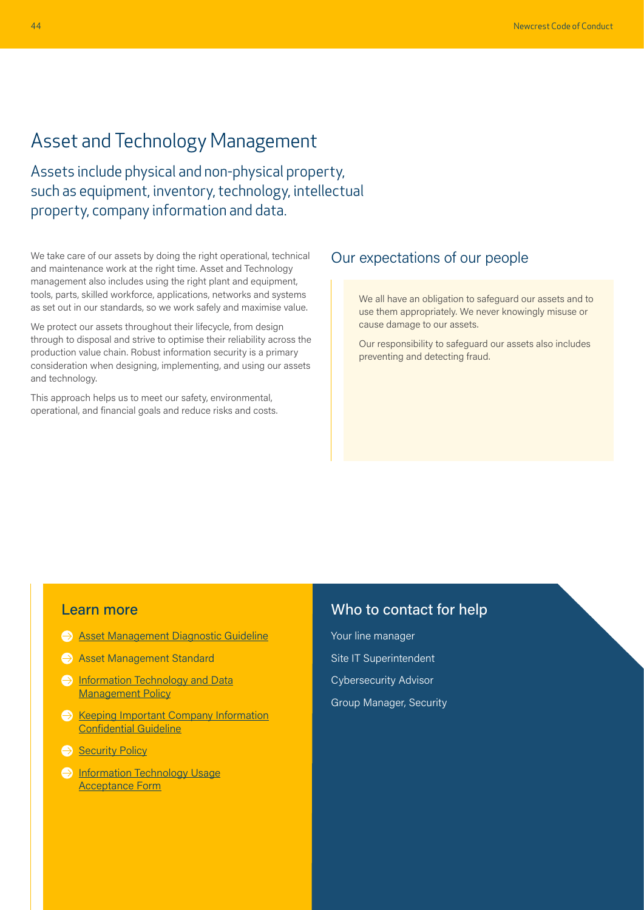## <span id="page-4-0"></span>Asset and Technology Management

Assets include physical and non-physical property, such as equipment, inventory, technology, intellectual property, company information and data.

We take care of our assets by doing the right operational, technical and maintenance work at the right time. Asset and Technology management also includes using the right plant and equipment, tools, parts, skilled workforce, applications, networks and systems as set out in our standards, so we work safely and maximise value.

We protect our assets throughout their lifecycle, from design through to disposal and strive to optimise their reliability across the production value chain. Robust information security is a primary consideration when designing, implementing, and using our assets and technology.

This approach helps us to meet our safety, environmental, operational, and financial goals and reduce risks and costs.

#### Our expectations of our people

We all have an obligation to safeguard our assets and to use them appropriately. We never knowingly misuse or cause damage to our assets.

Our responsibility to safeguard our assets also includes preventing and detecting fraud.

#### Learn more

- **[Asset Management Diagnostic Guideline](https://newcrestmining.sharepoint.com/teams/LihirReliabilityEngineering/Documents/Training/Asset%20Management/Asset%20Management%20Diagnostic%20Guideline.pdf?OR=Teams-HL&CT=1652253862605¶ms=eyJBcHBOYW1lIjoiVGVhbXMtRGVza3RvcCIsIkFwcFZlcnNpb24iOiIyNy8yMjA0MDExMTQwOSJ9#search=asset%20management%20guideline)**
- Asset Management Standard
- **Information Technology and Data** [Management Policy](https://newcrestmining.sharepoint.com/sites/portal/Documents/IT/Information%20Technology%20and%20Data%20Management%20Policy.pdf)
- $\ominus$  [Keeping Important Company Information](https://newcrestmining.sharepoint.com/sites/portal/Documents/Legal%20Risk%20&%20Compliance/Keeping%20Important%20Company%20Information%20Confidential%20Guideline.pdf) [Confidential Guideline](https://newcrestmining.sharepoint.com/sites/portal/Documents/Legal%20Risk%20&%20Compliance/Keeping%20Important%20Company%20Information%20Confidential%20Guideline.pdf)
- [Security Policy](https://www.newcrest.com/sites/default/files/2019-10/1306_Newcrest%20Security%20Policy.pdf)
- **[Information Technology Usage](https://newcrestmining.sharepoint.com/sites/portal/Documents/IT/Information%20Technology%20Usage%20Acceptance%20(Form).pdf#search=Information%20Technology%20Usage%20Acceptance%20Form)** [Acceptance Form](https://newcrestmining.sharepoint.com/sites/portal/Documents/IT/Information%20Technology%20Usage%20Acceptance%20(Form).pdf#search=Information%20Technology%20Usage%20Acceptance%20Form)

#### Who to contact for help

Your line manager Site IT Superintendent Cybersecurity Advisor Group Manager, Security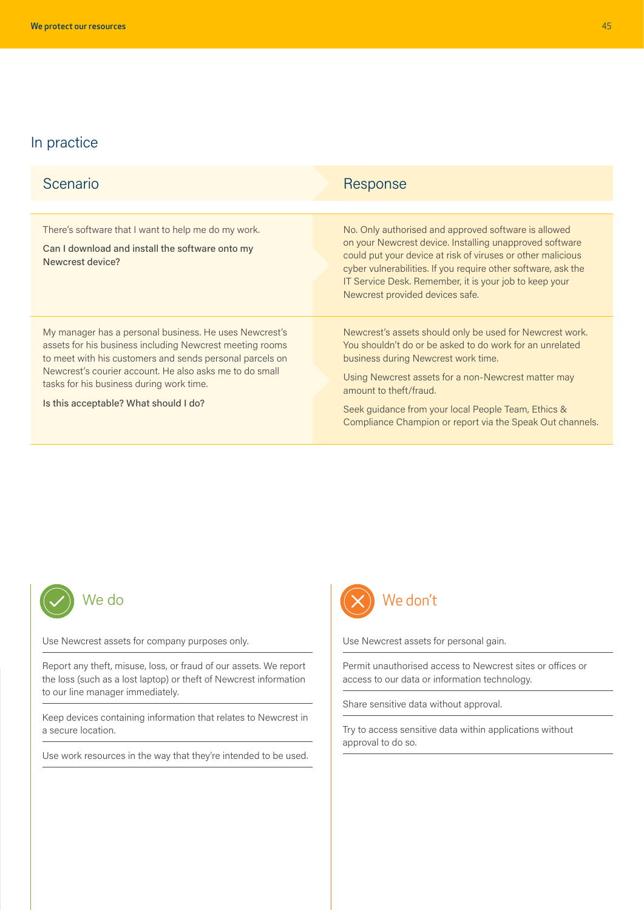| Scenario                                                                                                                                                                                                                                                                                                                       | Response                                                                                                                                                                                                                                                                                                                                                         |
|--------------------------------------------------------------------------------------------------------------------------------------------------------------------------------------------------------------------------------------------------------------------------------------------------------------------------------|------------------------------------------------------------------------------------------------------------------------------------------------------------------------------------------------------------------------------------------------------------------------------------------------------------------------------------------------------------------|
|                                                                                                                                                                                                                                                                                                                                |                                                                                                                                                                                                                                                                                                                                                                  |
| There's software that I want to help me do my work.<br>Can I download and install the software onto my<br>Newcrest device?                                                                                                                                                                                                     | No. Only authorised and approved software is allowed<br>on your Newcrest device. Installing unapproved software<br>could put your device at risk of viruses or other malicious<br>cyber vulnerabilities. If you require other software, ask the<br>IT Service Desk. Remember, it is your job to keep your<br>Newcrest provided devices safe.                     |
| My manager has a personal business. He uses Newcrest's<br>assets for his business including Newcrest meeting rooms<br>to meet with his customers and sends personal parcels on<br>Newcrest's courier account. He also asks me to do small<br>tasks for his business during work time.<br>Is this acceptable? What should I do? | Newcrest's assets should only be used for Newcrest work.<br>You shouldn't do or be asked to do work for an unrelated<br>business during Newcrest work time.<br>Using Newcrest assets for a non-Newcrest matter may<br>amount to theft/fraud.<br>Seek guidance from your local People Team, Ethics &<br>Compliance Champion or report via the Speak Out channels. |



Use Newcrest assets for company purposes only.

Report any theft, misuse, loss, or fraud of our assets. We report the loss (such as a lost laptop) or theft of Newcrest information to our line manager immediately.

Keep devices containing information that relates to Newcrest in a secure location.

Use work resources in the way that they're intended to be used.



Use Newcrest assets for personal gain.

Permit unauthorised access to Newcrest sites or offices or access to our data or information technology.

Share sensitive data without approval.

Try to access sensitive data within applications without approval to do so.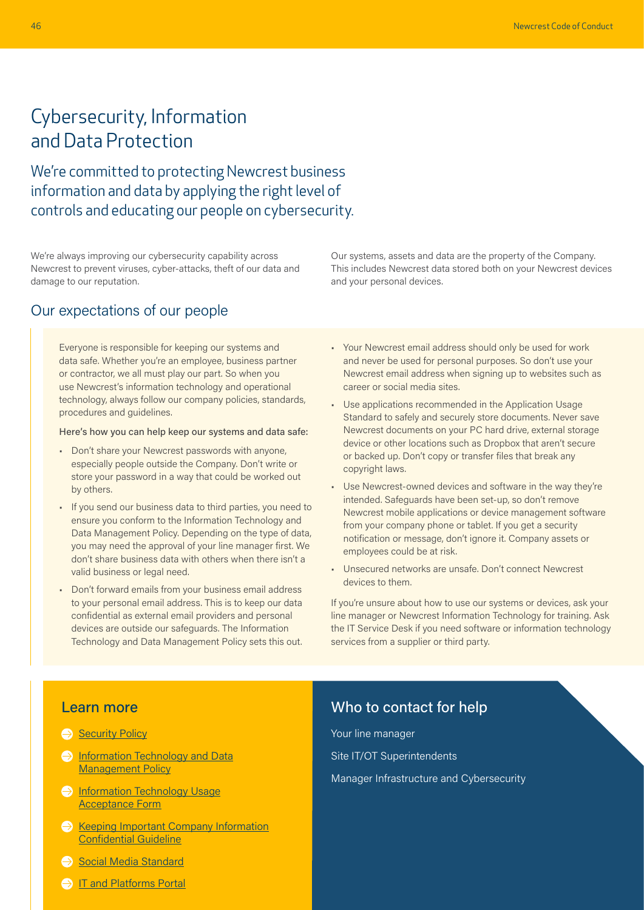## <span id="page-6-0"></span>Cybersecurity, Information and Data Protection

We're committed to protecting Newcrest business information and data by applying the right level of controls and educating our people on cybersecurity.

We're always improving our cybersecurity capability across Newcrest to prevent viruses, cyber-attacks, theft of our data and damage to our reputation.

### Our expectations of our people

Everyone is responsible for keeping our systems and data safe. Whether you're an employee, business partner or contractor, we all must play our part. So when you use Newcrest's information technology and operational technology, always follow our company policies, standards, procedures and guidelines.

#### Here's how you can help keep our systems and data safe:

- Don't share your Newcrest passwords with anyone, especially people outside the Company. Don't write or store your password in a way that could be worked out by others.
- If you send our business data to third parties, you need to ensure you conform to the Information Technology and Data Management Policy. Depending on the type of data, you may need the approval of your line manager first. We don't share business data with others when there isn't a valid business or legal need.
- Don't forward emails from your business email address to your personal email address. This is to keep our data confidential as external email providers and personal devices are outside our safeguards. The Information Technology and Data Management Policy sets this out.
- Our systems, assets and data are the property of the Company. This includes Newcrest data stored both on your Newcrest devices and your personal devices.
- Your Newcrest email address should only be used for work and never be used for personal purposes. So don't use your Newcrest email address when signing up to websites such as career or social media sites.
- Use applications recommended in the Application Usage Standard to safely and securely store documents. Never save Newcrest documents on your PC hard drive, external storage device or other locations such as Dropbox that aren't secure or backed up. Don't copy or transfer files that break any copyright laws.
- Use Newcrest-owned devices and software in the way they're intended. Safeguards have been set-up, so don't remove Newcrest mobile applications or device management software from your company phone or tablet. If you get a security notification or message, don't ignore it. Company assets or employees could be at risk.
- Unsecured networks are unsafe. Don't connect Newcrest devices to them.

If you're unsure about how to use our systems or devices, ask your line manager or Newcrest Information Technology for training. Ask the IT Service Desk if you need software or information technology services from a supplier or third party.

#### Learn more

- [Security Policy](https://www.newcrest.com/sites/default/files/2019-10/1306_Newcrest%20Security%20Policy.pdf)
- **Information Technology and Data [Management Policy](https://newcrestmining.sharepoint.com/sites/portal/Documents/IT/Information%20Technology%20and%20Data%20Management%20Policy.pdf)**
- **[Information Technology Usage](https://newcrestmining.sharepoint.com/sites/portal/Documents/IT/Information%20Technology%20Usage%20Acceptance%20(Form).pdf#search=Information%20Technology%20Usage%20Acceptance%20Form)** [Acceptance Form](https://newcrestmining.sharepoint.com/sites/portal/Documents/IT/Information%20Technology%20Usage%20Acceptance%20(Form).pdf#search=Information%20Technology%20Usage%20Acceptance%20Form)
- $\ominus$  [Keeping Important Company Information](https://newcrestmining.sharepoint.com/sites/portal/Documents/Legal%20Risk%20&%20Compliance/Keeping%20Important%20Company%20Information%20Confidential%20Guideline.pdf) [Confidential Guideline](https://newcrestmining.sharepoint.com/sites/portal/Documents/Legal%20Risk%20&%20Compliance/Keeping%20Important%20Company%20Information%20Confidential%20Guideline.pdf)
- [Social Media Standard](https://newcrestmining.sharepoint.com/sites/portal/Documents/Corp%20Comms/Social%20Media%20Standard.pdf)
- **[IT and Platforms Portal](https://newcrestmining.sharepoint.com/sites/portal/workplace/it-and-platforms)**

### Who to contact for help

Your line manager Site IT/OT Superintendents

Manager Infrastructure and Cybersecurity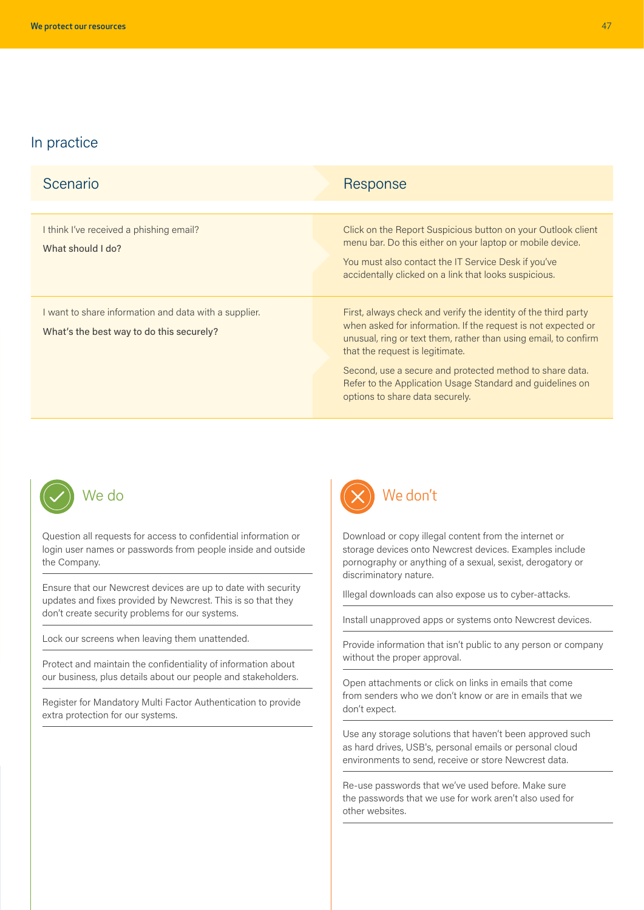| Scenario                                                                                          | Response                                                                                                                                                                                                                                                                                                                                                                                          |
|---------------------------------------------------------------------------------------------------|---------------------------------------------------------------------------------------------------------------------------------------------------------------------------------------------------------------------------------------------------------------------------------------------------------------------------------------------------------------------------------------------------|
|                                                                                                   |                                                                                                                                                                                                                                                                                                                                                                                                   |
| I think I've received a phishing email?<br>What should I do?                                      | Click on the Report Suspicious button on your Outlook client<br>menu bar. Do this either on your laptop or mobile device.<br>You must also contact the IT Service Desk if you've<br>accidentally clicked on a link that looks suspicious.                                                                                                                                                         |
| I want to share information and data with a supplier.<br>What's the best way to do this securely? | First, always check and verify the identity of the third party<br>when asked for information. If the request is not expected or<br>unusual, ring or text them, rather than using email, to confirm<br>that the request is legitimate.<br>Second, use a secure and protected method to share data.<br>Refer to the Application Usage Standard and guidelines on<br>options to share data securely. |



Question all requests for access to confidential information or login user names or passwords from people inside and outside the Company.

Ensure that our Newcrest devices are up to date with security updates and fixes provided by Newcrest. This is so that they don't create security problems for our systems.

Lock our screens when leaving them unattended.

Protect and maintain the confidentiality of information about our business, plus details about our people and stakeholders.

Register for Mandatory Multi Factor Authentication to provide extra protection for our systems.



Download or copy illegal content from the internet or storage devices onto Newcrest devices. Examples include pornography or anything of a sexual, sexist, derogatory or discriminatory nature.

Illegal downloads can also expose us to cyber-attacks.

Install unapproved apps or systems onto Newcrest devices.

Provide information that isn't public to any person or company without the proper approval.

Open attachments or click on links in emails that come from senders who we don't know or are in emails that we don't expect.

Use any storage solutions that haven't been approved such as hard drives, USB's, personal emails or personal cloud environments to send, receive or store Newcrest data.

Re-use passwords that we've used before. Make sure the passwords that we use for work aren't also used for other websites.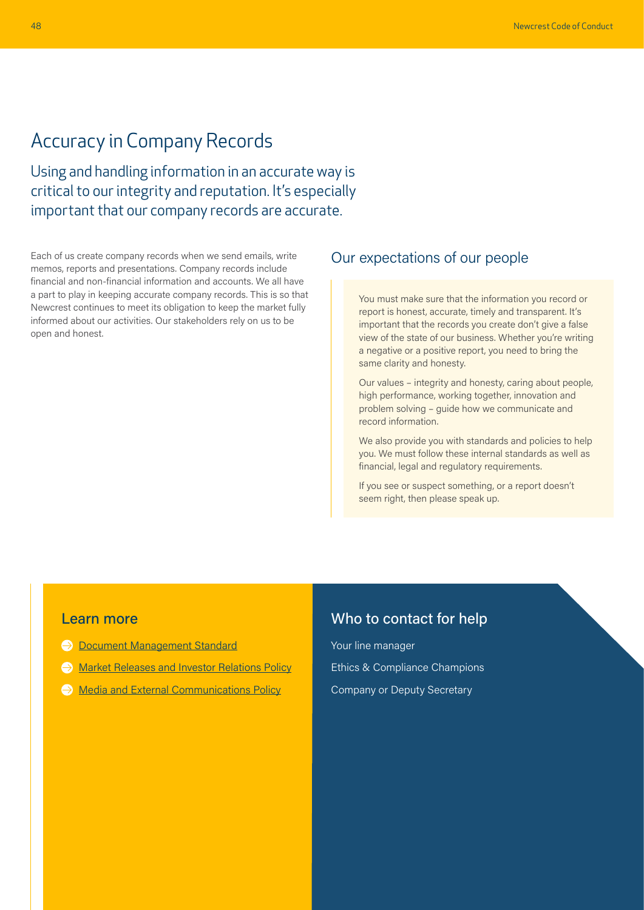### <span id="page-8-0"></span>Accuracy in Company Records

Using and handling information in an accurate way is critical to our integrity and reputation. It's especially important that our company records are accurate.

Each of us create company records when we send emails, write memos, reports and presentations. Company records include financial and non-financial information and accounts. We all have a part to play in keeping accurate company records. This is so that Newcrest continues to meet its obligation to keep the market fully informed about our activities. Our stakeholders rely on us to be open and honest.

### Our expectations of our people

You must make sure that the information you record or report is honest, accurate, timely and transparent. It's important that the records you create don't give a false view of the state of our business. Whether you're writing a negative or a positive report, you need to bring the same clarity and honesty.

Our values – integrity and honesty, caring about people, high performance, working together, innovation and problem solving – guide how we communicate and record information.

We also provide you with standards and policies to help you. We must follow these internal standards as well as financial, legal and regulatory requirements.

If you see or suspect something, or a report doesn't seem right, then please speak up.

#### Learn more

- **[Document Management Standard](https://newcrestmining.sharepoint.com/sites/portal/Documents/IT/IT-ST-06%20Document%20Management%20Standard.pdf)**
- **[Market Releases and Investor Relations Policy](https://newcrestmining.sharepoint.com/sites/portal/Documents/Legal%20Risk%20&%20Compliance/Market%20Releases%20and%20Investor%20Relations%20Policy.pdf)**
- $\ominus$  [Media and External Communications Policy](https://newcrestmining.sharepoint.com/sites/portal/Documents/Corp%20Comms/Media%20and%20External%20Communications%20Policy.pdf)

### Who to contact for help

Your line manager Ethics & Compliance Champions Company or Deputy Secretary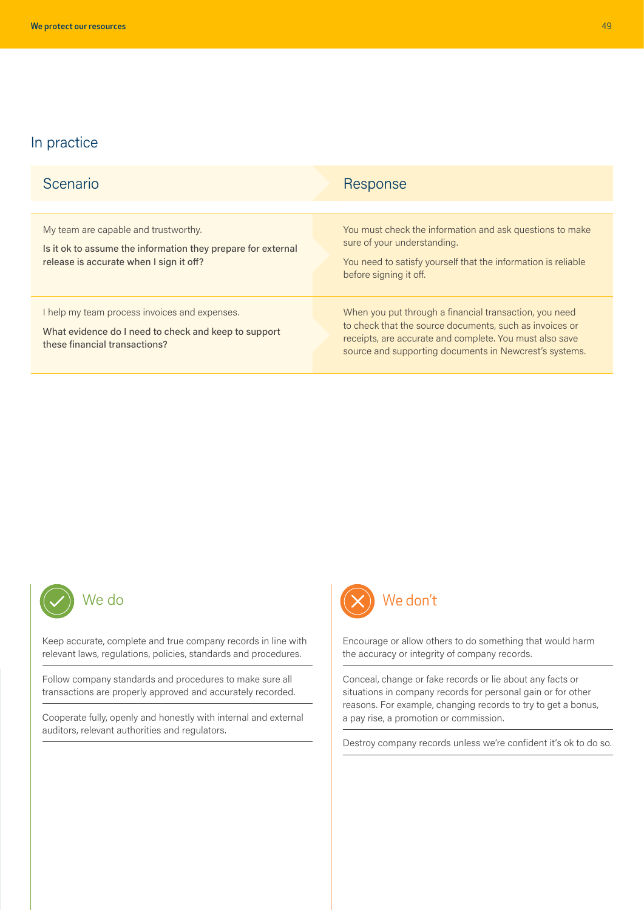| Scenario                                                                                                                                        | Response                                                                                                                                                                                                                               |
|-------------------------------------------------------------------------------------------------------------------------------------------------|----------------------------------------------------------------------------------------------------------------------------------------------------------------------------------------------------------------------------------------|
| My team are capable and trustworthy.<br>Is it ok to assume the information they prepare for external<br>release is accurate when I sign it off? | You must check the information and ask questions to make<br>sure of your understanding.<br>You need to satisfy yourself that the information is reliable<br>before signing it off.                                                     |
| help my team process invoices and expenses.<br>What evidence do I need to check and keep to support<br>these financial transactions?            | When you put through a financial transaction, you need<br>to check that the source documents, such as invoices or<br>receipts, are accurate and complete. You must also save<br>source and supporting documents in Newcrest's systems. |



Keep accurate, complete and true company records in line with relevant laws, regulations, policies, standards and procedures.

Follow company standards and procedures to make sure all transactions are properly approved and accurately recorded.

Cooperate fully, openly and honestly with internal and external auditors, relevant authorities and regulators.



Encourage or allow others to do something that would harm the accuracy or integrity of company records.

Conceal, change or fake records or lie about any facts or situations in company records for personal gain or for other reasons. For example, changing records to try to get a bonus, a pay rise, a promotion or commission.

Destroy company records unless we're confident it's ok to do so.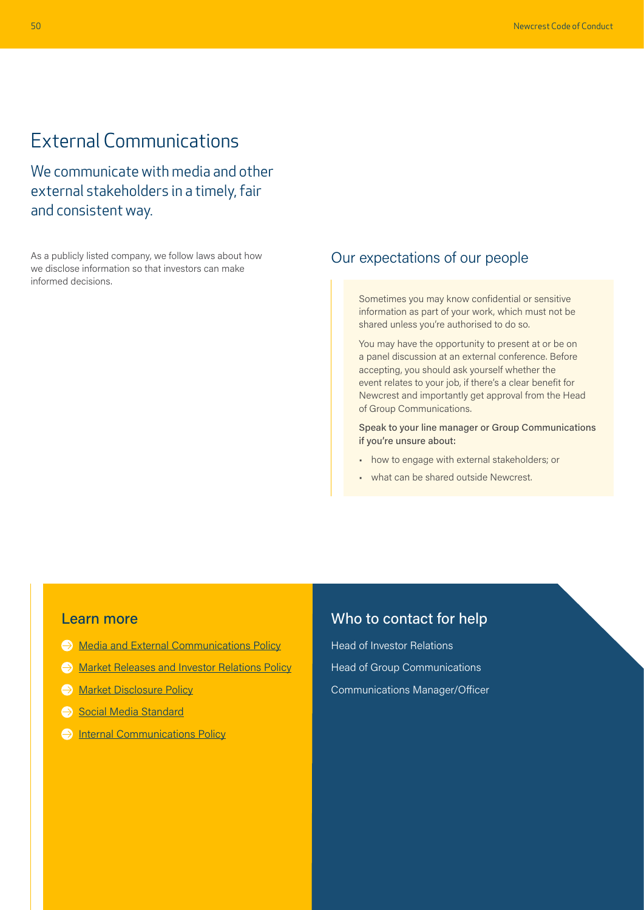## <span id="page-10-0"></span>External Communications

We communicate with media and other external stakeholders in a timely, fair and consistent way.

As a publicly listed company, we follow laws about how we disclose information so that investors can make informed decisions.

### Our expectations of our people

Sometimes you may know confidential or sensitive information as part of your work, which must not be shared unless you're authorised to do so.

You may have the opportunity to present at or be on a panel discussion at an external conference. Before accepting, you should ask yourself whether the event relates to your job, if there's a clear benefit for Newcrest and importantly get approval from the Head of Group Communications.

Speak to your line manager or Group Communications if you're unsure about:

- how to engage with external stakeholders; or
- what can be shared outside Newcrest.

#### Learn more

- $\ominus$  [Media and External Communications Policy](https://newcrestmining.sharepoint.com/sites/portal/Documents/Corp%20Comms/Media%20and%20External%20Communications%20Policy.pdf)
- **[Market Releases and Investor Relations Policy](https://newcrestmining.sharepoint.com/sites/portal/Documents/Legal%20Risk%20&%20Compliance/Market%20Releases%20and%20Investor%20Relations%20Policy.pdf)**
- **[Market Disclosure Policy](https://www.newcrest.com/sites/default/files/2021-02/Market%20Disclosure%20Policy.pdf)**
- [Social Media Standard](https://newcrestmining.sharepoint.com/sites/portal/Documents/Corp%20Comms/Social%20Media%20Standard.pdf)
- $\ominus$  [Internal Communications Policy](https://newcrestmining.sharepoint.com/sites/portal/Documents/Corp%20Comms/Internal%20Communications%20Policy.pdf)

### Who to contact for help

Head of Investor Relations Head of Group Communications Communications Manager/Officer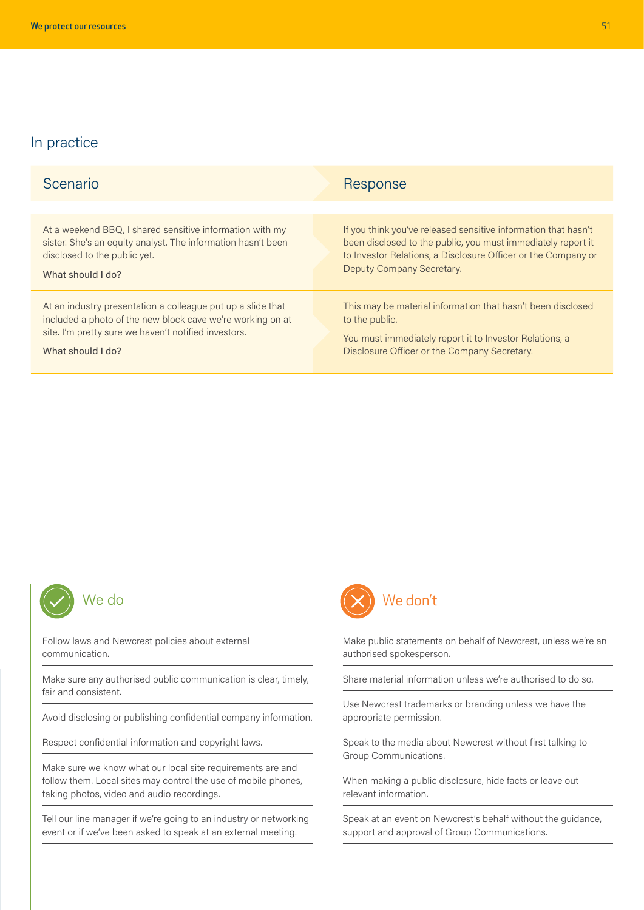| Scenario                                                     | Response                                                       |
|--------------------------------------------------------------|----------------------------------------------------------------|
|                                                              |                                                                |
| At a weekend BBQ, I shared sensitive information with my     | If you think you've released sensitive information that hasn't |
| sister. She's an equity analyst. The information hasn't been | been disclosed to the public, you must immediately report it   |
| disclosed to the public yet.                                 | to Investor Relations, a Disclosure Officer or the Company or  |
| What should I do?                                            | Deputy Company Secretary.                                      |
| At an industry presentation a colleague put up a slide that  | This may be material information that hasn't been disclosed    |
| included a photo of the new block cave we're working on at   | to the public.                                                 |
| site. I'm pretty sure we haven't notified investors.         | You must immediately report it to Investor Relations, a        |
| What should I do?                                            | Disclosure Officer or the Company Secretary.                   |



Follow laws and Newcrest policies about external communication.

Make sure any authorised public communication is clear, timely, fair and consistent.

Avoid disclosing or publishing confidential company information.

Respect confidential information and copyright laws.

Make sure we know what our local site requirements are and follow them. Local sites may control the use of mobile phones, taking photos, video and audio recordings.

Tell our line manager if we're going to an industry or networking event or if we've been asked to speak at an external meeting.



Make public statements on behalf of Newcrest, unless we're an authorised spokesperson.

Share material information unless we're authorised to do so.

Use Newcrest trademarks or branding unless we have the appropriate permission.

Speak to the media about Newcrest without first talking to Group Communications.

When making a public disclosure, hide facts or leave out relevant information.

Speak at an event on Newcrest's behalf without the guidance, support and approval of Group Communications.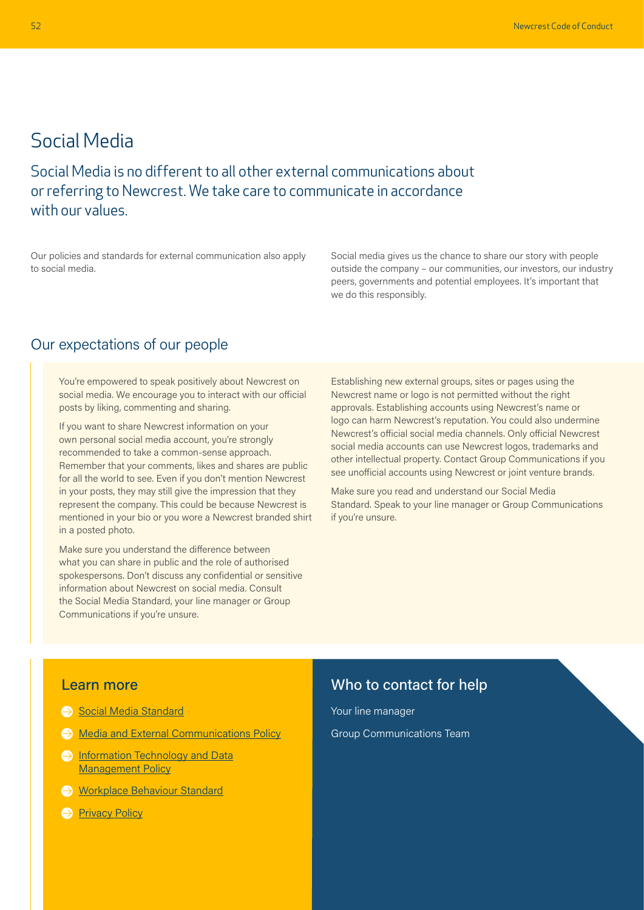### <span id="page-12-0"></span>Social Media

Social Media is no different to all other external communications about or referring to Newcrest. We take care to communicate in accordance with our values.

Our policies and standards for external communication also apply to social media.

Social media gives us the chance to share our story with people outside the company – our communities, our investors, our industry peers, governments and potential employees. It's important that we do this responsibly.

### Our expectations of our people

You're empowered to speak positively about Newcrest on social media. We encourage you to interact with our official posts by liking, commenting and sharing.

If you want to share Newcrest information on your own personal social media account, you're strongly recommended to take a common-sense approach. Remember that your comments, likes and shares are public for all the world to see. Even if you don't mention Newcrest in your posts, they may still give the impression that they represent the company. This could be because Newcrest is mentioned in your bio or you wore a Newcrest branded shirt in a posted photo.

Make sure you understand the difference between what you can share in public and the role of authorised spokespersons. Don't discuss any confidential or sensitive information about Newcrest on social media. Consult the Social Media Standard, your line manager or Group Communications if you're unsure.

Establishing new external groups, sites or pages using the Newcrest name or logo is not permitted without the right approvals. Establishing accounts using Newcrest's name or logo can harm Newcrest's reputation. You could also undermine Newcrest's official social media channels. Only official Newcrest social media accounts can use Newcrest logos, trademarks and other intellectual property. Contact Group Communications if you see unofficial accounts using Newcrest or joint venture brands.

Make sure you read and understand our Social Media Standard. Speak to your line manager or Group Communications if you're unsure.

#### Learn more

- [Social Media Standard](https://newcrestmining.sharepoint.com/sites/portal/Documents/Corp%20Comms/Social%20Media%20Standard.pdf)
- **→ [Media and External Communications Policy](https://newcrestmining.sharepoint.com/sites/portal/Documents/Corp%20Comms/Media%20and%20External%20Communications%20Policy.pdf)**
- **Information Technology and Data** [Management Policy](https://newcrestmining.sharepoint.com/sites/portal/Documents/IT/Information%20Technology%20and%20Data%20Management%20Policy.pdf)
- [Workplace Behaviour Standard](https://newcrestmining.sharepoint.com/sites/portal/Documents/Human%20Resources/HR-ST-11%20Workplace%20Behaviour%20Standard.pdf)
- **[Privacy Policy](https://www.newcrest.com/sites/default/files/2022-04/Privacy%20Policy_0.pdf)**

### Who to contact for help

Your line manager Group Communications Team